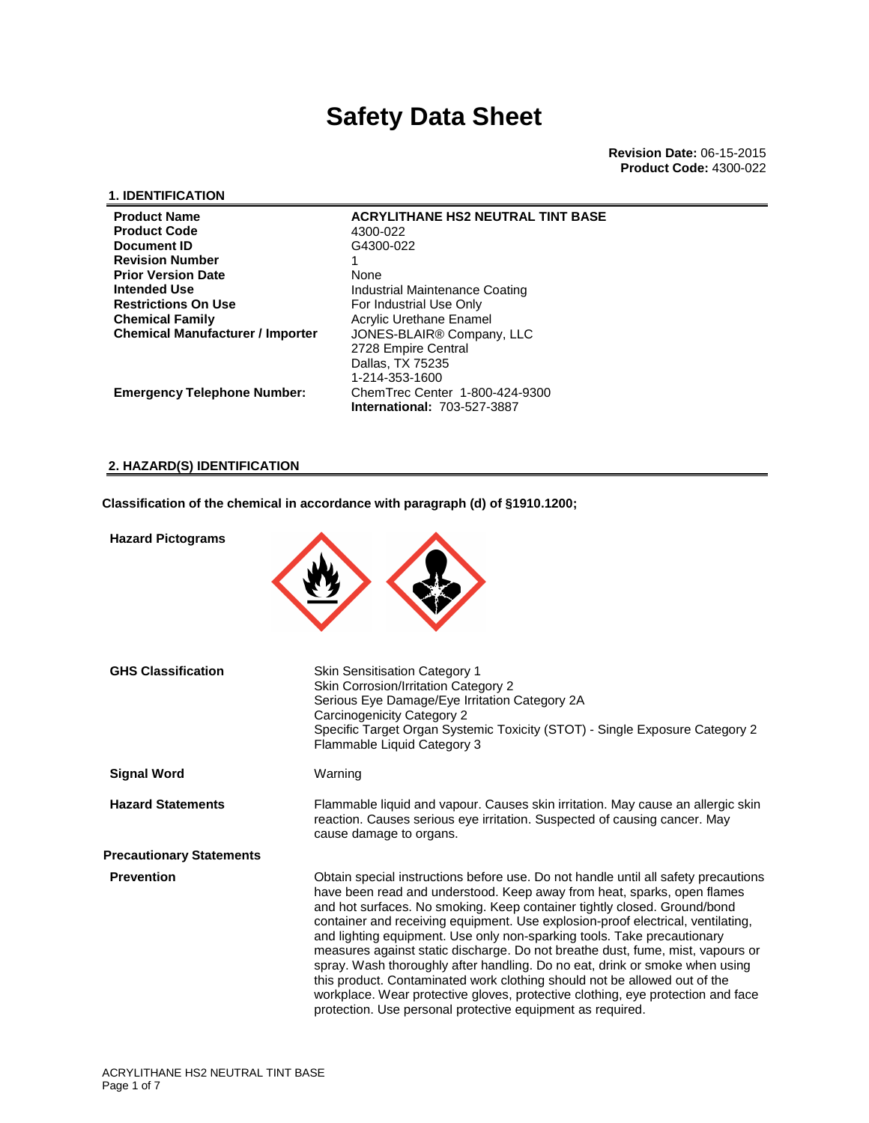**Revision Date:** 06-15-2015 **Product Code:** 4300-022

### **1. IDENTIFICATION**

| <b>Product Name</b>                     | <b>ACRYLITHANE HS2 NEUTRAL TINT BASE</b> |
|-----------------------------------------|------------------------------------------|
| <b>Product Code</b>                     | 4300-022                                 |
| Document ID                             | G4300-022                                |
| <b>Revision Number</b>                  |                                          |
| <b>Prior Version Date</b>               | None                                     |
| <b>Intended Use</b>                     | Industrial Maintenance Coating           |
| <b>Restrictions On Use</b>              | For Industrial Use Only                  |
| <b>Chemical Family</b>                  | Acrylic Urethane Enamel                  |
| <b>Chemical Manufacturer / Importer</b> | JONES-BLAIR <sup>®</sup> Company, LLC    |
|                                         | 2728 Empire Central                      |
|                                         | Dallas, TX 75235                         |
|                                         | 1-214-353-1600                           |
| <b>Emergency Telephone Number:</b>      | ChemTrec Center 1-800-424-9300           |
|                                         | <b>International: 703-527-3887</b>       |

### **2. HAZARD(S) IDENTIFICATION**

**Classification of the chemical in accordance with paragraph (d) of §1910.1200;**

| <b>Hazard Pictograms</b>        |                                                                                                                                                                                                                                                                                                                                                                                                                                                                                                                                                                                                                                                                                                                                                                                                        |
|---------------------------------|--------------------------------------------------------------------------------------------------------------------------------------------------------------------------------------------------------------------------------------------------------------------------------------------------------------------------------------------------------------------------------------------------------------------------------------------------------------------------------------------------------------------------------------------------------------------------------------------------------------------------------------------------------------------------------------------------------------------------------------------------------------------------------------------------------|
| <b>GHS Classification</b>       | <b>Skin Sensitisation Category 1</b><br>Skin Corrosion/Irritation Category 2<br>Serious Eye Damage/Eye Irritation Category 2A<br>Carcinogenicity Category 2<br>Specific Target Organ Systemic Toxicity (STOT) - Single Exposure Category 2<br>Flammable Liquid Category 3                                                                                                                                                                                                                                                                                                                                                                                                                                                                                                                              |
| <b>Signal Word</b>              | Warning                                                                                                                                                                                                                                                                                                                                                                                                                                                                                                                                                                                                                                                                                                                                                                                                |
| <b>Hazard Statements</b>        | Flammable liquid and vapour. Causes skin irritation. May cause an allergic skin<br>reaction. Causes serious eye irritation. Suspected of causing cancer. May<br>cause damage to organs.                                                                                                                                                                                                                                                                                                                                                                                                                                                                                                                                                                                                                |
| <b>Precautionary Statements</b> |                                                                                                                                                                                                                                                                                                                                                                                                                                                                                                                                                                                                                                                                                                                                                                                                        |
| <b>Prevention</b>               | Obtain special instructions before use. Do not handle until all safety precautions<br>have been read and understood. Keep away from heat, sparks, open flames<br>and hot surfaces. No smoking. Keep container tightly closed. Ground/bond<br>container and receiving equipment. Use explosion-proof electrical, ventilating,<br>and lighting equipment. Use only non-sparking tools. Take precautionary<br>measures against static discharge. Do not breathe dust, fume, mist, vapours or<br>spray. Wash thoroughly after handling. Do no eat, drink or smoke when using<br>this product. Contaminated work clothing should not be allowed out of the<br>workplace. Wear protective gloves, protective clothing, eye protection and face<br>protection. Use personal protective equipment as required. |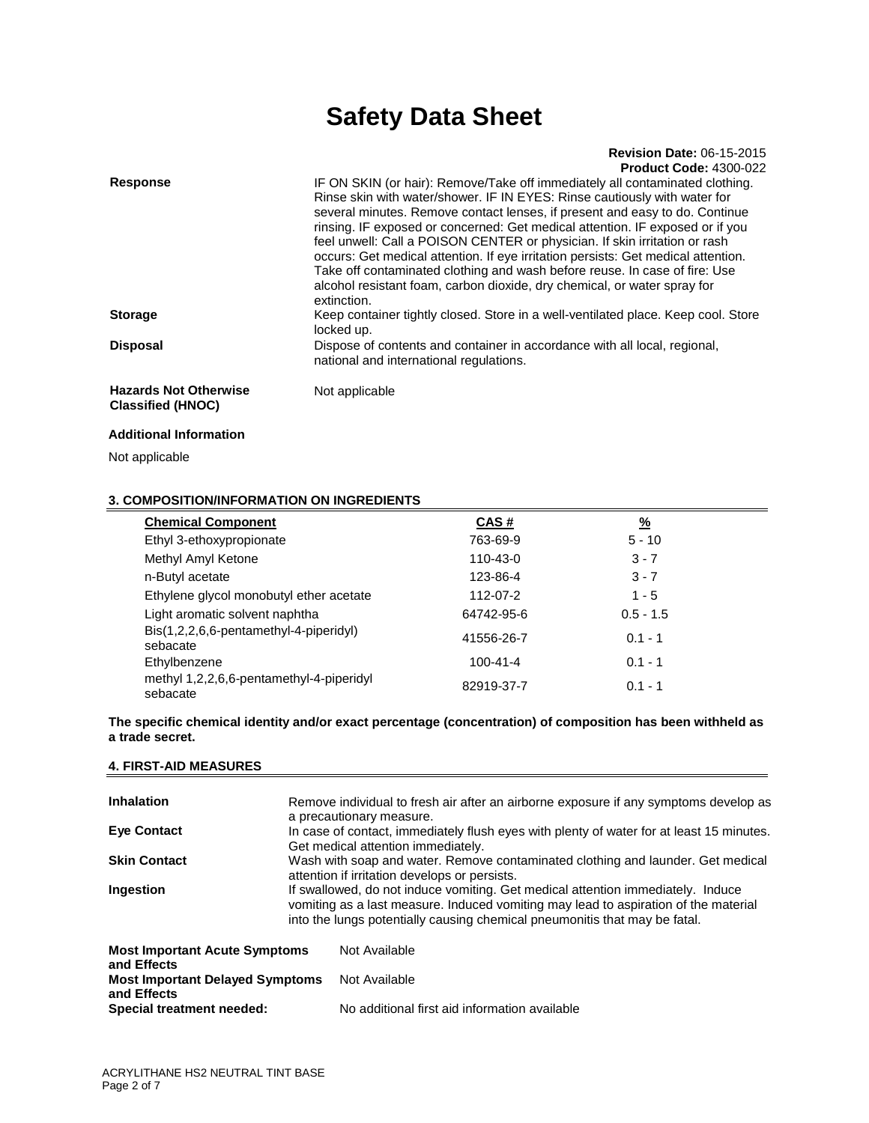#### **Revision Date:** 06-15-2015 **Product Code:** 4300-022

| <b>Response</b>                                          | IF ON SKIN (or hair): Remove/Take off immediately all contaminated clothing.<br>Rinse skin with water/shower. IF IN EYES: Rinse cautiously with water for<br>several minutes. Remove contact lenses, if present and easy to do. Continue<br>rinsing. IF exposed or concerned: Get medical attention. IF exposed or if you<br>feel unwell: Call a POISON CENTER or physician. If skin irritation or rash<br>occurs: Get medical attention. If eye irritation persists: Get medical attention.<br>Take off contaminated clothing and wash before reuse. In case of fire: Use<br>alcohol resistant foam, carbon dioxide, dry chemical, or water spray for<br>extinction. |
|----------------------------------------------------------|-----------------------------------------------------------------------------------------------------------------------------------------------------------------------------------------------------------------------------------------------------------------------------------------------------------------------------------------------------------------------------------------------------------------------------------------------------------------------------------------------------------------------------------------------------------------------------------------------------------------------------------------------------------------------|
| <b>Storage</b>                                           | Keep container tightly closed. Store in a well-ventilated place. Keep cool. Store<br>locked up.                                                                                                                                                                                                                                                                                                                                                                                                                                                                                                                                                                       |
| <b>Disposal</b>                                          | Dispose of contents and container in accordance with all local, regional,<br>national and international regulations.                                                                                                                                                                                                                                                                                                                                                                                                                                                                                                                                                  |
| <b>Hazards Not Otherwise</b><br><b>Classified (HNOC)</b> | Not applicable                                                                                                                                                                                                                                                                                                                                                                                                                                                                                                                                                                                                                                                        |

### **Additional Information**

Not applicable

## **3. COMPOSITION/INFORMATION ON INGREDIENTS**

| <b>Chemical Component</b>                            | CAS#           | <u>%</u>    |  |
|------------------------------------------------------|----------------|-------------|--|
| Ethyl 3-ethoxypropionate                             | 763-69-9       | $5 - 10$    |  |
| Methyl Amyl Ketone                                   | 110-43-0       | $3 - 7$     |  |
| n-Butyl acetate                                      | 123-86-4       | $3 - 7$     |  |
| Ethylene glycol monobutyl ether acetate              | 112-07-2       | $1 - 5$     |  |
| Light aromatic solvent naphtha                       | 64742-95-6     | $0.5 - 1.5$ |  |
| Bis(1,2,2,6,6-pentamethyl-4-piperidyl)<br>sebacate   | 41556-26-7     | $0.1 - 1$   |  |
| Ethylbenzene                                         | $100 - 41 - 4$ | $0.1 - 1$   |  |
| methyl 1,2,2,6,6-pentamethyl-4-piperidyl<br>sebacate | 82919-37-7     | $0.1 - 1$   |  |

**The specific chemical identity and/or exact percentage (concentration) of composition has been withheld as a trade secret.** 

### **4. FIRST-AID MEASURES**

| <b>Inhalation</b>                      | Remove individual to fresh air after an airborne exposure if any symptoms develop as     |                                                                            |  |
|----------------------------------------|------------------------------------------------------------------------------------------|----------------------------------------------------------------------------|--|
|                                        |                                                                                          | a precautionary measure.                                                   |  |
| <b>Eve Contact</b>                     | In case of contact, immediately flush eyes with plenty of water for at least 15 minutes. |                                                                            |  |
|                                        |                                                                                          | Get medical attention immediately.                                         |  |
| <b>Skin Contact</b>                    | Wash with soap and water. Remove contaminated clothing and launder. Get medical          |                                                                            |  |
|                                        | attention if irritation develops or persists.                                            |                                                                            |  |
| Ingestion                              | If swallowed, do not induce vomiting. Get medical attention immediately. Induce          |                                                                            |  |
|                                        | vomiting as a last measure. Induced vomiting may lead to aspiration of the material      |                                                                            |  |
|                                        |                                                                                          | into the lungs potentially causing chemical pneumonitis that may be fatal. |  |
|                                        |                                                                                          |                                                                            |  |
| <b>Most Important Acute Symptoms</b>   |                                                                                          | Not Available                                                              |  |
| and Effects                            |                                                                                          |                                                                            |  |
| <b>Most Important Delayed Symptoms</b> |                                                                                          | Not Available                                                              |  |
| and Effects                            |                                                                                          |                                                                            |  |
| Special treatment needed:              |                                                                                          | No additional first aid information available                              |  |
|                                        |                                                                                          |                                                                            |  |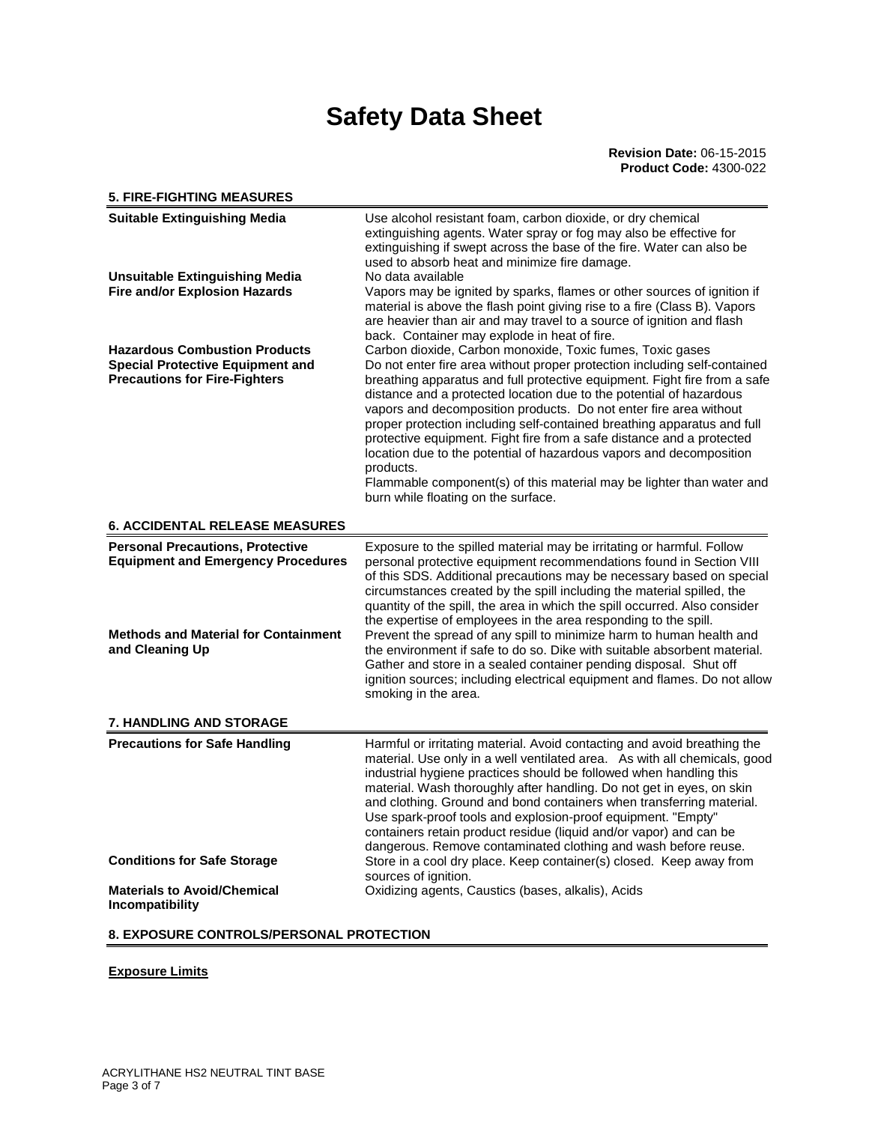#### **5. FIRE-FIGHTING MEASURES Suitable Extinguishing Media** Use alcohol resistant foam, carbon dioxide, or dry chemical extinguishing agents. Water spray or fog may also be effective for extinguishing if swept across the base of the fire. Water can also be used to absorb heat and minimize fire damage. **Unsuitable Extinguishing Media** No data available **Fire and/or Explosion Hazards** Vapors may be ignited by sparks, flames or other sources of ignition if material is above the flash point giving rise to a fire (Class B). Vapors are heavier than air and may travel to a source of ignition and flash back. Container may explode in heat of fire. Hazardous Combustion Products Carbon dioxide, Carbon monoxide, Toxic fumes, Toxic gases **Special Protective Equipment and Precautions for Fire-Fighters**  Do not enter fire area without proper protection including self-contained breathing apparatus and full protective equipment. Fight fire from a safe distance and a protected location due to the potential of hazardous vapors and decomposition products. Do not enter fire area without proper protection including self-contained breathing apparatus and full protective equipment. Fight fire from a safe distance and a protected location due to the potential of hazardous vapors and decomposition products. Flammable component(s) of this material may be lighter than water and burn while floating on the surface. **6. ACCIDENTAL RELEASE MEASURES Personal Precautions, Protective Equipment and Emergency Procedures**  Exposure to the spilled material may be irritating or harmful. Follow personal protective equipment recommendations found in Section VIII of this SDS. Additional precautions may be necessary based on special circumstances created by the spill including the material spilled, the quantity of the spill, the area in which the spill occurred. Also consider the expertise of employees in the area responding to the spill. **Methods and Material for Containment and Cleaning Up**  Prevent the spread of any spill to minimize harm to human health and the environment if safe to do so. Dike with suitable absorbent material. Gather and store in a sealed container pending disposal. Shut off ignition sources; including electrical equipment and flames. Do not allow smoking in the area. **7. HANDLING AND STORAGE Precautions for Safe Handling Harmful or irritating material. Avoid contacting and avoid breathing the** material. Use only in a well ventilated area. As with all chemicals, good industrial hygiene practices should be followed when handling this material. Wash thoroughly after handling. Do not get in eyes, on skin and clothing. Ground and bond containers when transferring material. Use spark-proof tools and explosion-proof equipment. "Empty" containers retain product residue (liquid and/or vapor) and can be dangerous. Remove contaminated clothing and wash before reuse. **Conditions for Safe Storage** Store in a cool dry place. Keep container(s) closed. Keep away from sources of ignition. **Materials to Avoid/Chemical Incompatibility**  Oxidizing agents, Caustics (bases, alkalis), Acids

### **8. EXPOSURE CONTROLS/PERSONAL PROTECTION**

### **Exposure Limits**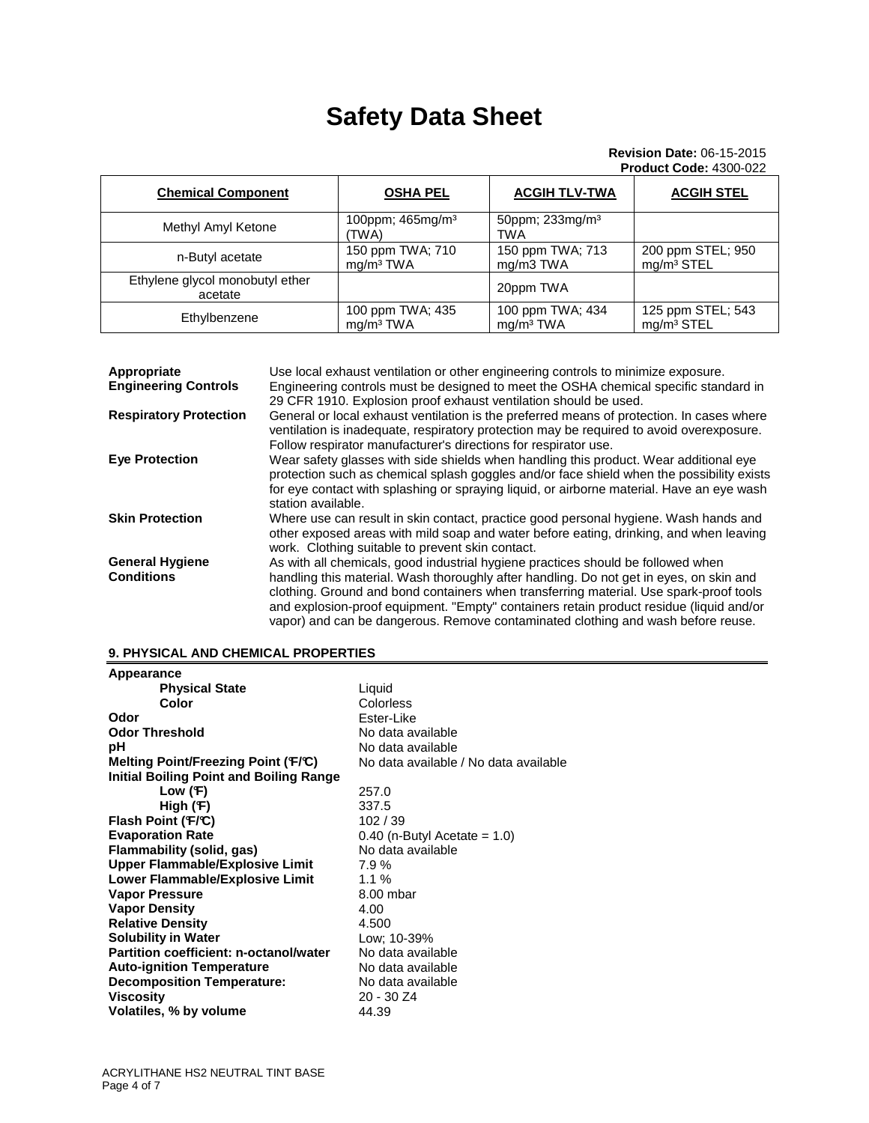### **Revision Date:** 06-15-2015 **Product Code:** 4300-022

| <b>Chemical Component</b>                  | <b>OSHA PEL</b>                           | <b>ACGIH TLV-TWA</b>                      | <b>ACGIH STEL</b>                           |
|--------------------------------------------|-------------------------------------------|-------------------------------------------|---------------------------------------------|
| Methyl Amyl Ketone                         | 100ppm; 465mg/m <sup>3</sup><br>'TWA)     | 50ppm; 233mg/m <sup>3</sup><br><b>TWA</b> |                                             |
| n-Butyl acetate                            | 150 ppm TWA; 710<br>mq/m <sup>3</sup> TWA | 150 ppm TWA; 713<br>mg/m3 TWA             | 200 ppm STEL; 950<br>mg/m <sup>3</sup> STEL |
| Ethylene glycol monobutyl ether<br>acetate |                                           | 20ppm TWA                                 |                                             |
| Ethylbenzene                               | 100 ppm TWA; 435<br>ma/m <sup>3</sup> TWA | 100 ppm TWA; 434<br>ma/m <sup>3</sup> TWA | 125 ppm STEL; 543<br>mg/m <sup>3</sup> STEL |

| Appropriate<br><b>Engineering Controls</b>  | Use local exhaust ventilation or other engineering controls to minimize exposure.<br>Engineering controls must be designed to meet the OSHA chemical specific standard in<br>29 CFR 1910. Explosion proof exhaust ventilation should be used.                                                                                                                                                                                                        |
|---------------------------------------------|------------------------------------------------------------------------------------------------------------------------------------------------------------------------------------------------------------------------------------------------------------------------------------------------------------------------------------------------------------------------------------------------------------------------------------------------------|
| <b>Respiratory Protection</b>               | General or local exhaust ventilation is the preferred means of protection. In cases where<br>ventilation is inadequate, respiratory protection may be required to avoid overexposure.<br>Follow respirator manufacturer's directions for respirator use.                                                                                                                                                                                             |
| <b>Eye Protection</b>                       | Wear safety glasses with side shields when handling this product. Wear additional eye<br>protection such as chemical splash goggles and/or face shield when the possibility exists<br>for eye contact with splashing or spraying liquid, or airborne material. Have an eye wash<br>station available.                                                                                                                                                |
| <b>Skin Protection</b>                      | Where use can result in skin contact, practice good personal hygiene. Wash hands and<br>other exposed areas with mild soap and water before eating, drinking, and when leaving<br>work. Clothing suitable to prevent skin contact.                                                                                                                                                                                                                   |
| <b>General Hygiene</b><br><b>Conditions</b> | As with all chemicals, good industrial hygiene practices should be followed when<br>handling this material. Wash thoroughly after handling. Do not get in eyes, on skin and<br>clothing. Ground and bond containers when transferring material. Use spark-proof tools<br>and explosion-proof equipment. "Empty" containers retain product residue (liquid and/or<br>vapor) and can be dangerous. Remove contaminated clothing and wash before reuse. |

## **9. PHYSICAL AND CHEMICAL PROPERTIES**

| Liquid                                |
|---------------------------------------|
| Colorless                             |
| Ester-Like                            |
| No data available                     |
| No data available                     |
| No data available / No data available |
|                                       |
| 257.0                                 |
| 337.5                                 |
| 102/39                                |
| $0.40$ (n-Butyl Acetate = 1.0)        |
| No data available                     |
| 7.9%                                  |
| 1.1%                                  |
| 8.00 mbar                             |
| 4.00                                  |
| 4.500                                 |
| Low: 10-39%                           |
| No data available                     |
| No data available                     |
| No data available                     |
| $20 - 30 Z4$                          |
| 44.39                                 |
|                                       |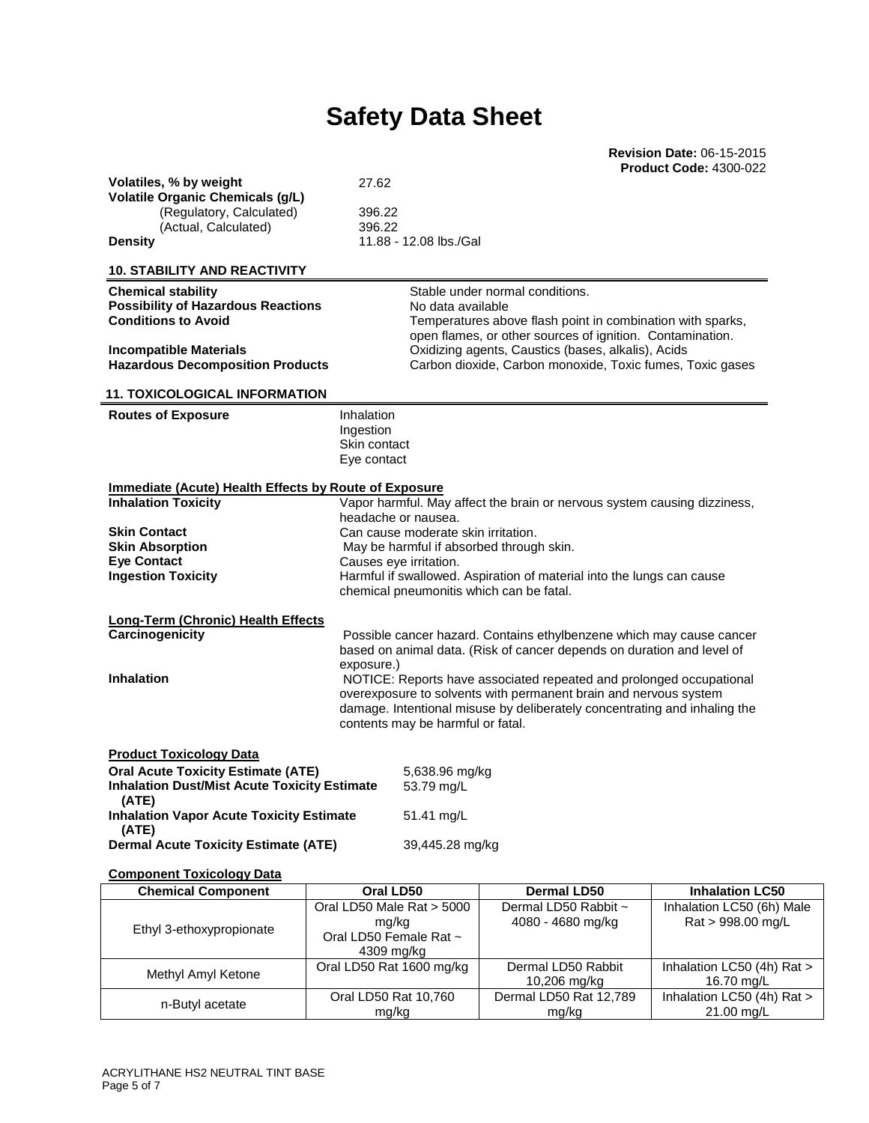**Revision Date:** 06-15-2015 **Product Code:** 4300-022

|                                                                                     |                                                                                                 |                                                                                                                                         | <b>Product Code: 4300-022</b>                  |
|-------------------------------------------------------------------------------------|-------------------------------------------------------------------------------------------------|-----------------------------------------------------------------------------------------------------------------------------------------|------------------------------------------------|
| Volatiles, % by weight                                                              | 27.62                                                                                           |                                                                                                                                         |                                                |
| <b>Volatile Organic Chemicals (g/L)</b><br>(Regulatory, Calculated)                 | 396.22                                                                                          |                                                                                                                                         |                                                |
| (Actual, Calculated)                                                                | 396.22                                                                                          |                                                                                                                                         |                                                |
| <b>Density</b>                                                                      | 11.88 - 12.08 lbs./Gal                                                                          |                                                                                                                                         |                                                |
| <b>10. STABILITY AND REACTIVITY</b>                                                 |                                                                                                 |                                                                                                                                         |                                                |
| <b>Chemical stability</b>                                                           |                                                                                                 | Stable under normal conditions.                                                                                                         |                                                |
| <b>Possibility of Hazardous Reactions</b><br><b>Conditions to Avoid</b>             | No data available                                                                               |                                                                                                                                         |                                                |
|                                                                                     |                                                                                                 | Temperatures above flash point in combination with sparks,<br>open flames, or other sources of ignition. Contamination.                 |                                                |
| <b>Incompatible Materials</b>                                                       |                                                                                                 | Oxidizing agents, Caustics (bases, alkalis), Acids                                                                                      |                                                |
| <b>Hazardous Decomposition Products</b>                                             |                                                                                                 | Carbon dioxide, Carbon monoxide, Toxic fumes, Toxic gases                                                                               |                                                |
| <b>11. TOXICOLOGICAL INFORMATION</b>                                                |                                                                                                 |                                                                                                                                         |                                                |
| <b>Routes of Exposure</b>                                                           | Inhalation                                                                                      |                                                                                                                                         |                                                |
|                                                                                     | Ingestion<br>Skin contact                                                                       |                                                                                                                                         |                                                |
|                                                                                     | Eye contact                                                                                     |                                                                                                                                         |                                                |
|                                                                                     |                                                                                                 |                                                                                                                                         |                                                |
| Immediate (Acute) Health Effects by Route of Exposure<br><b>Inhalation Toxicity</b> |                                                                                                 | Vapor harmful. May affect the brain or nervous system causing dizziness,                                                                |                                                |
|                                                                                     | headache or nausea.                                                                             |                                                                                                                                         |                                                |
| <b>Skin Contact</b>                                                                 | Can cause moderate skin irritation.                                                             |                                                                                                                                         |                                                |
| <b>Skin Absorption</b>                                                              | May be harmful if absorbed through skin.                                                        |                                                                                                                                         |                                                |
| <b>Eye Contact</b><br><b>Ingestion Toxicity</b>                                     | Causes eye irritation.<br>Harmful if swallowed. Aspiration of material into the lungs can cause |                                                                                                                                         |                                                |
|                                                                                     | chemical pneumonitis which can be fatal.                                                        |                                                                                                                                         |                                                |
| Long-Term (Chronic) Health Effects                                                  |                                                                                                 |                                                                                                                                         |                                                |
| Carcinogenicity                                                                     |                                                                                                 | Possible cancer hazard. Contains ethylbenzene which may cause cancer                                                                    |                                                |
|                                                                                     |                                                                                                 | based on animal data. (Risk of cancer depends on duration and level of                                                                  |                                                |
| <b>Inhalation</b>                                                                   | exposure.)                                                                                      |                                                                                                                                         |                                                |
|                                                                                     |                                                                                                 | NOTICE: Reports have associated repeated and prolonged occupational<br>overexposure to solvents with permanent brain and nervous system |                                                |
|                                                                                     |                                                                                                 | damage. Intentional misuse by deliberately concentrating and inhaling the                                                               |                                                |
|                                                                                     | contents may be harmful or fatal.                                                               |                                                                                                                                         |                                                |
| <b>Product Toxicology Data</b>                                                      |                                                                                                 |                                                                                                                                         |                                                |
| <b>Oral Acute Toxicity Estimate (ATE)</b>                                           | 5,638.96 mg/kg                                                                                  |                                                                                                                                         |                                                |
| <b>Inhalation Dust/Mist Acute Toxicity Estimate</b><br>(ATE)                        | 53.79 mg/L                                                                                      |                                                                                                                                         |                                                |
| <b>Inhalation Vapor Acute Toxicity Estimate</b><br>(ATE)                            | 51.41 mg/L                                                                                      |                                                                                                                                         |                                                |
| <b>Dermal Acute Toxicity Estimate (ATE)</b>                                         | 39,445.28 mg/kg                                                                                 |                                                                                                                                         |                                                |
| <b>Component Toxicology Data</b>                                                    |                                                                                                 |                                                                                                                                         |                                                |
| <b>Chemical Component</b>                                                           | Oral LD50                                                                                       | <b>Dermal LD50</b>                                                                                                                      | <b>Inhalation LC50</b>                         |
|                                                                                     | Oral LD50 Male Rat > 5000                                                                       | Dermal LD50 Rabbit ~                                                                                                                    | Inhalation LC50 (6h) Male<br>Rat > 998.00 mg/L |
| Ethyl 3-ethoxypropionate                                                            | mg/kg<br>Oral LD50 Female Rat ~                                                                 | 4080 - 4680 mg/kg                                                                                                                       |                                                |
|                                                                                     | 4309 mg/kg                                                                                      |                                                                                                                                         |                                                |

Methyl Amyl Ketone Oral LD50 Rat 1600 mg/kg Dermal LD50 Rabbit

mg/kg

n-Butyl acetate **Oral LD50 Rat 10,760** 

10,206 mg/kg

Dermal LD50 Rat 12,789 mg/kg

Inhalation LC50 (4h) Rat > 16.70 mg/L

Inhalation LC50 (4h) Rat > 21.00 mg/L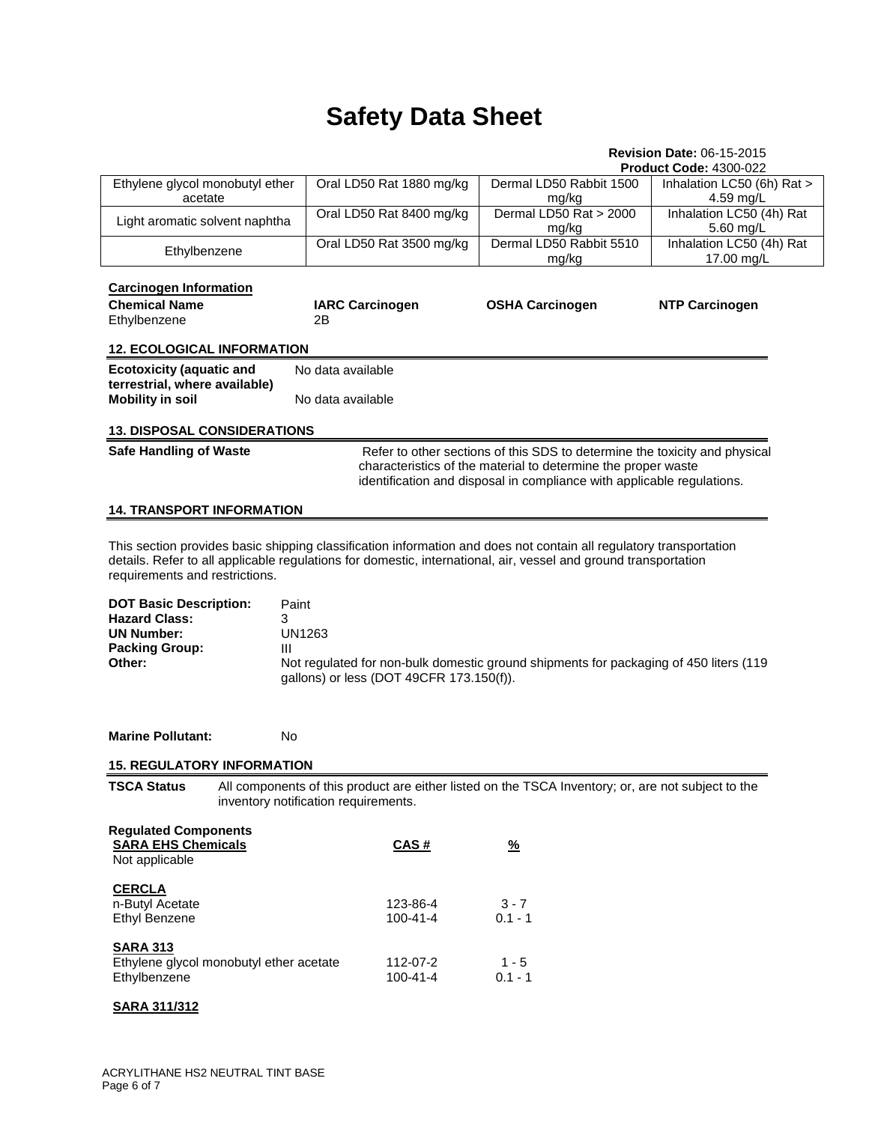## **Revision Date:** 06-15-2015

|                                                                                                                                                                                                                                                                                                                                                                                                             |                                                           |                                                                                                                                                                                                                       | <b>Product Code: 4300-022</b>           |
|-------------------------------------------------------------------------------------------------------------------------------------------------------------------------------------------------------------------------------------------------------------------------------------------------------------------------------------------------------------------------------------------------------------|-----------------------------------------------------------|-----------------------------------------------------------------------------------------------------------------------------------------------------------------------------------------------------------------------|-----------------------------------------|
| Ethylene glycol monobutyl ether<br>acetate                                                                                                                                                                                                                                                                                                                                                                  | Oral LD50 Rat 1880 mg/kg                                  | Dermal LD50 Rabbit 1500<br>mg/kg                                                                                                                                                                                      | Inhalation LC50 (6h) Rat ><br>4.59 mg/L |
| Light aromatic solvent naphtha                                                                                                                                                                                                                                                                                                                                                                              | Oral LD50 Rat 8400 mg/kg                                  | Dermal LD50 Rat > 2000<br>mg/kg                                                                                                                                                                                       | Inhalation LC50 (4h) Rat<br>5.60 mg/L   |
| Ethylbenzene                                                                                                                                                                                                                                                                                                                                                                                                | Oral LD50 Rat 3500 mg/kg                                  | Dermal LD50 Rabbit 5510<br>mg/kg                                                                                                                                                                                      | Inhalation LC50 (4h) Rat<br>17.00 mg/L  |
| <b>Carcinogen Information</b><br><b>Chemical Name</b><br>Ethylbenzene                                                                                                                                                                                                                                                                                                                                       | <b>IARC Carcinogen</b><br>2Β                              | <b>OSHA Carcinogen</b>                                                                                                                                                                                                | <b>NTP Carcinogen</b>                   |
| <b>12. ECOLOGICAL INFORMATION</b>                                                                                                                                                                                                                                                                                                                                                                           |                                                           |                                                                                                                                                                                                                       |                                         |
| <b>Ecotoxicity (aquatic and</b><br>terrestrial, where available)<br><b>Mobility in soil</b>                                                                                                                                                                                                                                                                                                                 | No data available<br>No data available                    |                                                                                                                                                                                                                       |                                         |
| <b>13. DISPOSAL CONSIDERATIONS</b>                                                                                                                                                                                                                                                                                                                                                                          |                                                           |                                                                                                                                                                                                                       |                                         |
| <b>Safe Handling of Waste</b>                                                                                                                                                                                                                                                                                                                                                                               |                                                           | Refer to other sections of this SDS to determine the toxicity and physical<br>characteristics of the material to determine the proper waste<br>identification and disposal in compliance with applicable regulations. |                                         |
| <b>14. TRANSPORT INFORMATION</b>                                                                                                                                                                                                                                                                                                                                                                            |                                                           |                                                                                                                                                                                                                       |                                         |
| This section provides basic shipping classification information and does not contain all regulatory transportation<br>details. Refer to all applicable regulations for domestic, international, air, vessel and ground transportation<br>requirements and restrictions.<br><b>DOT Basic Description:</b><br>Paint<br><b>Hazard Class:</b><br>3<br><b>UN Number:</b><br><b>Packing Group:</b><br>Ш<br>Other: | <b>UN1263</b><br>gallons) or less (DOT 49CFR 173.150(f)). | Not regulated for non-bulk domestic ground shipments for packaging of 450 liters (119                                                                                                                                 |                                         |
| <b>Marine Pollutant:</b><br>No.                                                                                                                                                                                                                                                                                                                                                                             |                                                           |                                                                                                                                                                                                                       |                                         |
| <b>15. REGULATORY INFORMATION</b>                                                                                                                                                                                                                                                                                                                                                                           |                                                           |                                                                                                                                                                                                                       |                                         |
| <b>TSCA Status</b>                                                                                                                                                                                                                                                                                                                                                                                          | inventory notification requirements.                      | All components of this product are either listed on the TSCA Inventory; or, are not subject to the                                                                                                                    |                                         |
| <b>Regulated Components</b><br><b>SARA EHS Chemicals</b><br>Not applicable                                                                                                                                                                                                                                                                                                                                  | CAS#                                                      | $\frac{9}{6}$                                                                                                                                                                                                         |                                         |
| <b>CERCLA</b><br>n-Butyl Acetate<br><b>Ethyl Benzene</b>                                                                                                                                                                                                                                                                                                                                                    | 123-86-4<br>$100 - 41 - 4$                                | $3 - 7$<br>$0.1 - 1$                                                                                                                                                                                                  |                                         |
| <b>SARA 313</b><br>Ethylene glycol monobutyl ether acetate<br>Ethylbenzene                                                                                                                                                                                                                                                                                                                                  | 112-07-2<br>100-41-4                                      | $1 - 5$<br>$0.1 - 1$                                                                                                                                                                                                  |                                         |
| <b>SARA 311/312</b>                                                                                                                                                                                                                                                                                                                                                                                         |                                                           |                                                                                                                                                                                                                       |                                         |